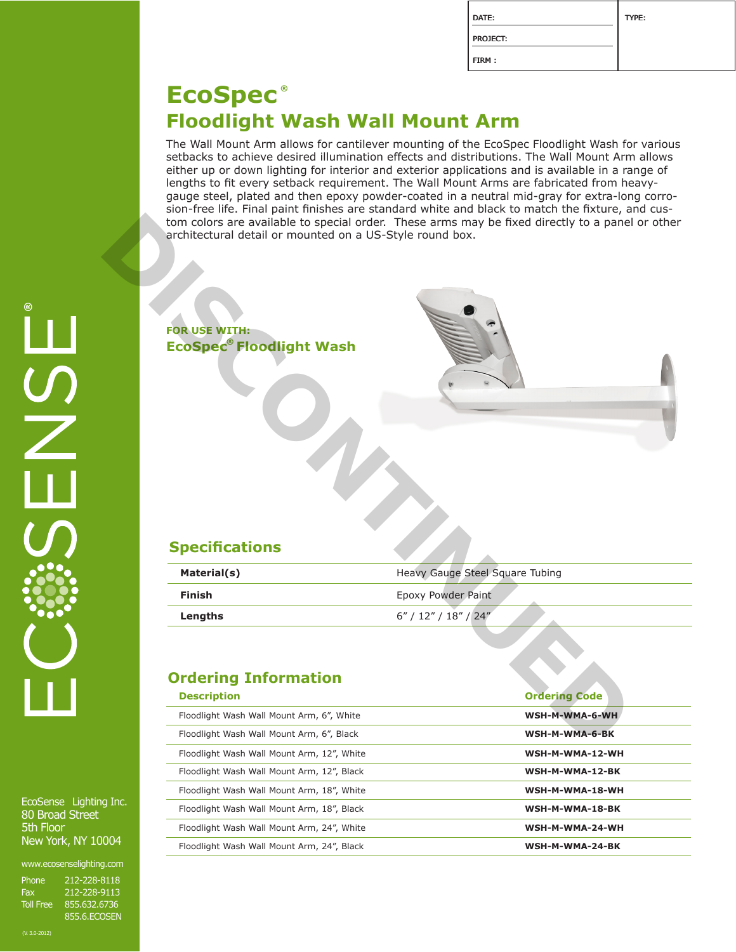| DATE:           | TYPE: |
|-----------------|-------|
| <b>PROJECT:</b> |       |
| FIRM:           |       |

## **Floodlight Wash Wall Mount Arm EcoSpec ®**

**Material(s)** Material(s) Material(s) Heavy Gauge Steel Square Tubing

**Description Ordering Code** Floodlight Wash Wall Mount Arm, 6", White **WSH-M-WMA-6-WH**

Floodlight Wash Wall Mount Arm, 6", Black **WSH-M-WMA-6-BK**

Floodlight Wash Wall Mount Arm, 18", White WALL Management Wash-West 2001 Management Wash Wall Mount Arm, 18", White

Floodlight Wash Wall Mount Arm, 12", Black **WSH-M-WMA-12-BK**

Floodlight Wash Wall Mount Arm, 12", White **WALL MILL MILL MOUNT WASH-M-WMA-12-WH** 

Floodlight Wash Wall Mount Arm, 18", Black **WSH-M-WMA-18-BK**

Floodlight Wash Wall Mount Arm, 24", White **WALL MARE WASH-M-WMA-24-WH** 

Floodlight Wash Wall Mount Arm, 24", Black **WSH-M-WMA-24-BK**

**Finish** Epoxy Powder Paint **Lengths** 6" / 12" / 18" / 24"

The Wall Mount Arm allows for cantilever mounting of the EcoSpec Floodlight Wash for various setbacks to achieve desired illumination effects and distributions. The Wall Mount Arm allows either up or down lighting for interior and exterior applications and is available in a range of lengths to fit every setback requirement. The Wall Mount Arms are fabricated from heavygauge steel, plated and then epoxy powder-coated in a neutral mid-gray for extra-long corrosion-free life. Final paint finishes are standard white and black to match the fixture, and custom colors are available to special order. These arms may be fixed directly to a panel or other architectural detail or mounted on a US-Style round box. Form colors are available to special order. These arms may be fixed directly to a panel<br> **DISCONTINUES**<br> **DISCONTINUES**<br> **DISCONTINUES**<br> **DISCONTINUES**<br> **DISCONTINUES**<br> **DISCONTINUES**<br> **DISCONTINUES**<br> **DISCONTINUES**<br> **DISC** 

**Specifications**

**Ordering Information**

**FOR USE WITH:**

**EcoSpec®Floodlight Wash** 

EcoSense Lighting Inc. 80 Broad Street 5th Floor New York, NY 10004

www.ecosenselighting.com

| Phone            | 212-228-8118 |
|------------------|--------------|
| Fax              | 212-228-9113 |
| <b>Toll Free</b> | 855.632.6736 |
|                  | 855.6.ECOSEN |